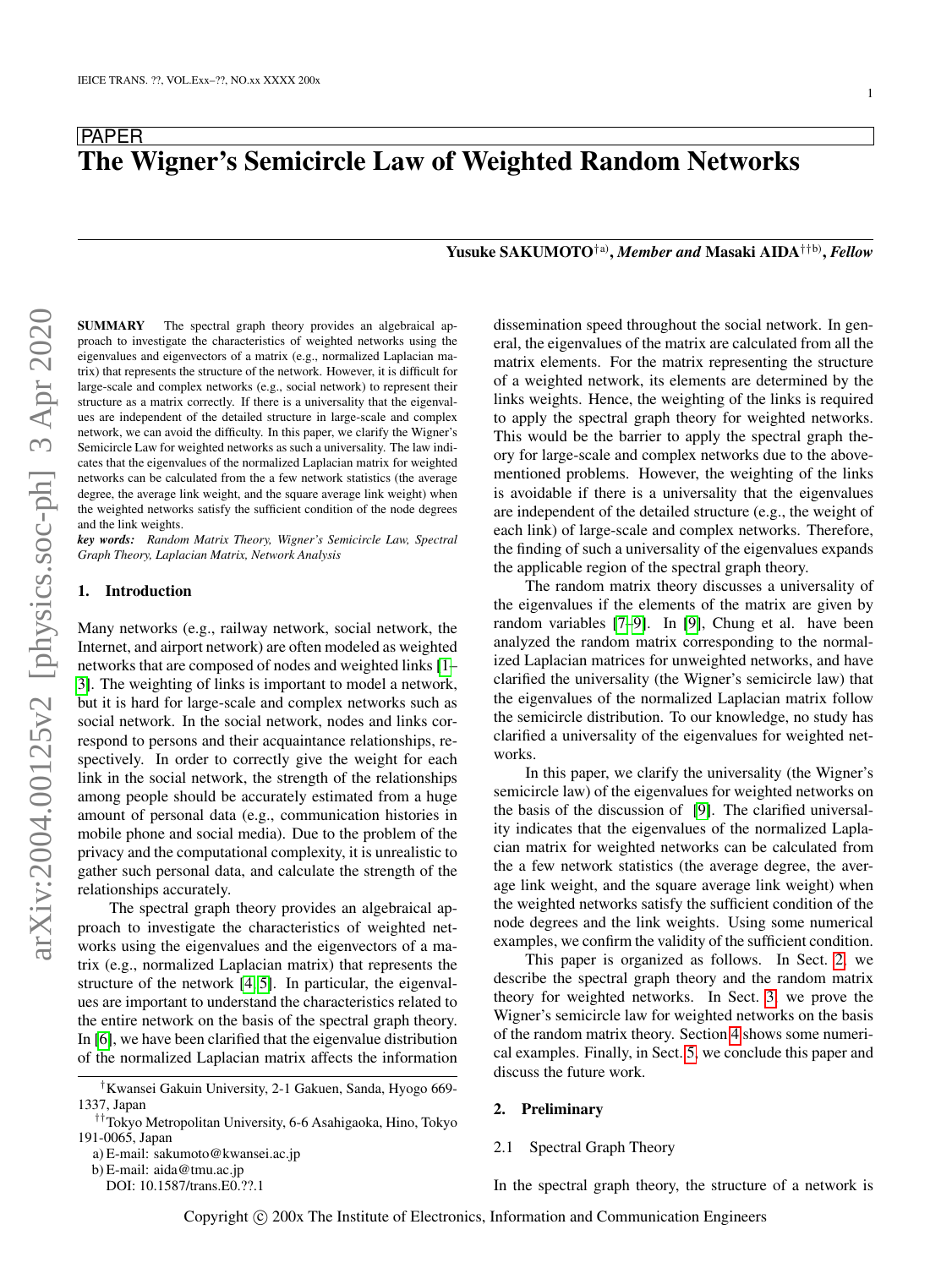# PAPER The Wigner's Semicircle Law of Weighted Random Networks

Yusuke SAKUMOTO†a) , *Member and* Masaki AIDA††b) , *Fellow*

SUMMARY The spectral graph theory provides an algebraical approach to investigate the characteristics of weighted networks using the eigenvalues and eigenvectors of a matrix (e.g., normalized Laplacian matrix) that represents the structure of the network. However, it is difficult for large-scale and complex networks (e.g., social network) to represent their structure as a matrix correctly. If there is a universality that the eigenvalues are independent of the detailed structure in large-scale and complex network, we can avoid the difficulty. In this paper, we clarify the Wigner's Semicircle Law for weighted networks as such a universality. The law indicates that the eigenvalues of the normalized Laplacian matrix for weighted networks can be calculated from the a few network statistics (the average degree, the average link weight, and the square average link weight) when the weighted networks satisfy the sufficient condition of the node degrees and the link weights.

*key words: Random Matrix Theory, Wigner's Semicircle Law, Spectral Graph Theory, Laplacian Matrix, Network Analysis*

# 1. Introduction

Many networks (e.g., railway network, social network, the Internet, and airport network) are often modeled as weighted networks that are composed of nodes and weighted links [\[1–](#page-8-0) [3\]](#page-9-0). The weighting of links is important to model a network, but it is hard for large-scale and complex networks such as social network. In the social network, nodes and links correspond to persons and their acquaintance relationships, respectively. In order to correctly give the weight for each link in the social network, the strength of the relationships among people should be accurately estimated from a huge amount of personal data (e.g., communication histories in mobile phone and social media). Due to the problem of the privacy and the computational complexity, it is unrealistic to gather such personal data, and calculate the strength of the relationships accurately.

The spectral graph theory provides an algebraical approach to investigate the characteristics of weighted networks using the eigenvalues and the eigenvectors of a matrix (e.g., normalized Laplacian matrix) that represents the structure of the network [\[4,](#page-9-1) [5\]](#page-9-2). In particular, the eigenvalues are important to understand the characteristics related to the entire network on the basis of the spectral graph theory. In [\[6\]](#page-9-3), we have been clarified that the eigenvalue distribution of the normalized Laplacian matrix affects the information

b) E-mail: aida@tmu.ac.jp

dissemination speed throughout the social network. In general, the eigenvalues of the matrix are calculated from all the matrix elements. For the matrix representing the structure of a weighted network, its elements are determined by the links weights. Hence, the weighting of the links is required to apply the spectral graph theory for weighted networks. This would be the barrier to apply the spectral graph theory for large-scale and complex networks due to the abovementioned problems. However, the weighting of the links is avoidable if there is a universality that the eigenvalues are independent of the detailed structure (e.g., the weight of each link) of large-scale and complex networks. Therefore, the finding of such a universality of the eigenvalues expands the applicable region of the spectral graph theory.

The random matrix theory discusses a universality of the eigenvalues if the elements of the matrix are given by random variables [\[7–](#page-9-4)[9\]](#page-9-5). In [\[9\]](#page-9-5), Chung et al. have been analyzed the random matrix corresponding to the normalized Laplacian matrices for unweighted networks, and have clarified the universality (the Wigner's semicircle law) that the eigenvalues of the normalized Laplacian matrix follow the semicircle distribution. To our knowledge, no study has clarified a universality of the eigenvalues for weighted networks.

In this paper, we clarify the universality (the Wigner's semicircle law) of the eigenvalues for weighted networks on the basis of the discussion of [\[9\]](#page-9-5). The clarified universality indicates that the eigenvalues of the normalized Laplacian matrix for weighted networks can be calculated from the a few network statistics (the average degree, the average link weight, and the square average link weight) when the weighted networks satisfy the sufficient condition of the node degrees and the link weights. Using some numerical examples, we confirm the validity of the sufficient condition.

This paper is organized as follows. In Sect. [2,](#page-0-0) we describe the spectral graph theory and the random matrix theory for weighted networks. In Sect. [3,](#page-2-0) we prove the Wigner's semicircle law for weighted networks on the basis of the random matrix theory. Section [4](#page-6-0) shows some numerical examples. Finally, in Sect. [5,](#page-8-1) we conclude this paper and discuss the future work.

### <span id="page-0-0"></span>2. Preliminary

### 2.1 Spectral Graph Theory

In the spectral graph theory, the structure of a network is

<sup>†</sup>Kwansei Gakuin University, 2-1 Gakuen, Sanda, Hyogo 669- 1337, Japan

<sup>††</sup>Tokyo Metropolitan University, 6-6 Asahigaoka, Hino, Tokyo 191-0065, Japan

a) E-mail: sakumoto@kwansei.ac.jp

DOI: 10.1587/trans.E0.??.1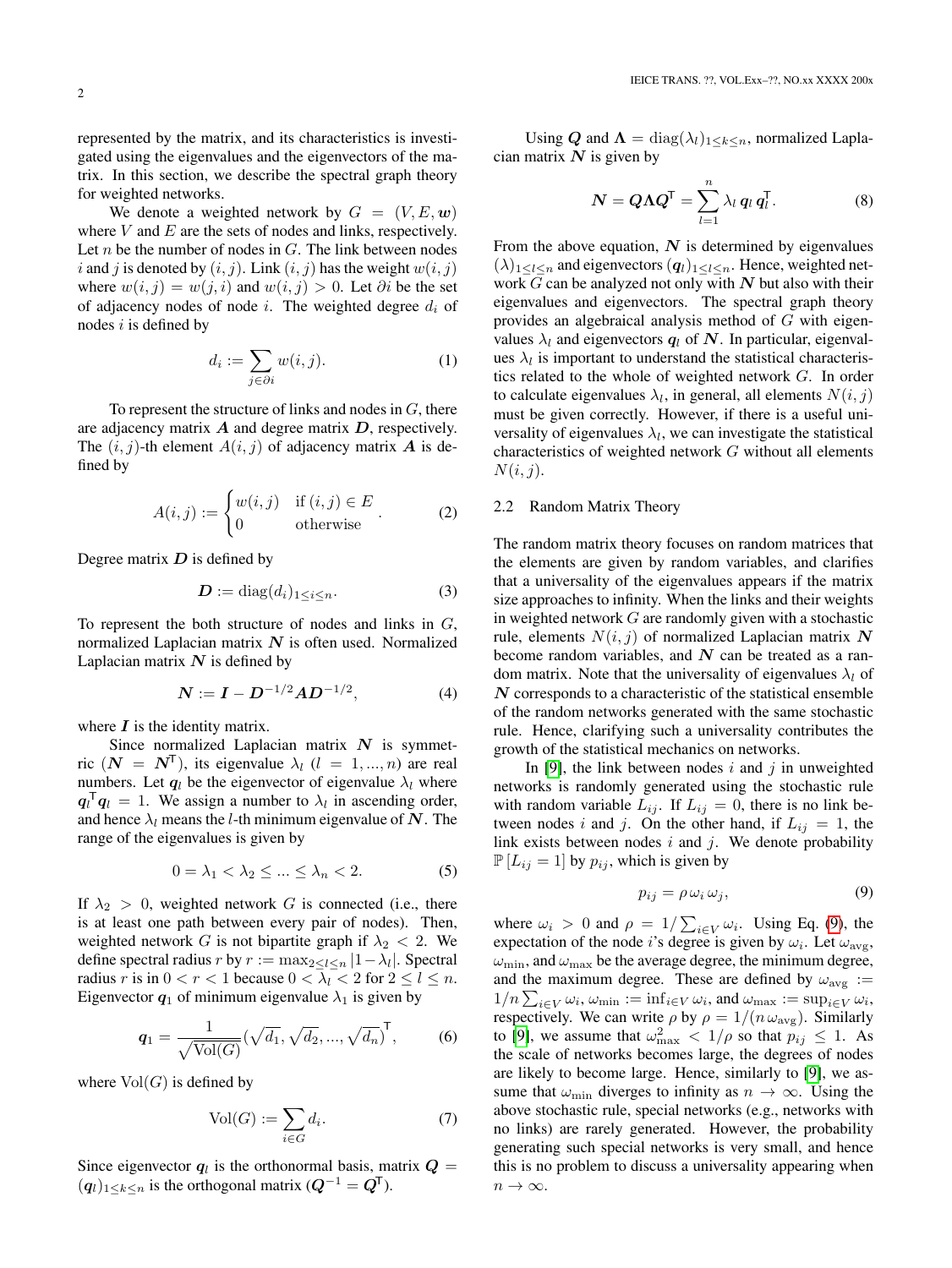represented by the matrix, and its characteristics is investigated using the eigenvalues and the eigenvectors of the matrix. In this section, we describe the spectral graph theory for weighted networks.

We denote a weighted network by  $G = (V, E, \omega)$ where  $V$  and  $E$  are the sets of nodes and links, respectively. Let  $n$  be the number of nodes in  $G$ . The link between nodes i and j is denoted by  $(i, j)$ . Link  $(i, j)$  has the weight  $w(i, j)$ where  $w(i, j) = w(j, i)$  and  $w(i, j) > 0$ . Let ∂i be the set of adjacency nodes of node i. The weighted degree  $d_i$  of nodes  $i$  is defined by

$$
d_i := \sum_{j \in \partial i} w(i, j). \tag{1}
$$

To represent the structure of links and nodes in  $G$ , there are adjacency matrix  $\boldsymbol{A}$  and degree matrix  $\boldsymbol{D}$ , respectively. The  $(i, j)$ -th element  $A(i, j)$  of adjacency matrix **A** is defined by

$$
A(i,j) := \begin{cases} w(i,j) & \text{if } (i,j) \in E \\ 0 & \text{otherwise} \end{cases}.
$$
 (2)

Degree matrix  $D$  is defined by

$$
\mathbf{D} := \text{diag}(d_i)_{1 \le i \le n}.\tag{3}
$$

To represent the both structure of nodes and links in  $G$ , normalized Laplacian matrix  $N$  is often used. Normalized Laplacian matrix  $N$  is defined by

$$
N := I - D^{-1/2} A D^{-1/2}, \tag{4}
$$

where  $\boldsymbol{I}$  is the identity matrix.

Since normalized Laplacian matrix  $N$  is symmetric  $(N = N<sup>T</sup>)$ , its eigenvalue  $\lambda_l$   $(l = 1, ..., n)$  are real numbers. Let  $q_l$  be the eigenvector of eigenvalue  $\lambda_l$  where  $\mathbf{q}_l^{\mathsf{T}} \mathbf{q}_l = 1$ . We assign a number to  $\lambda_l$  in ascending order, and hence  $\lambda_l$  means the l-th minimum eigenvalue of N. The range of the eigenvalues is given by

$$
0 = \lambda_1 < \lambda_2 \le \dots \le \lambda_n < 2. \tag{5}
$$

If  $\lambda_2 > 0$ , weighted network G is connected (i.e., there is at least one path between every pair of nodes). Then, weighted network G is not bipartite graph if  $\lambda_2$  < 2. We define spectral radius *r* by  $r := \max_{2 \le l \le n} |1 - \lambda_l|$ . Spectral radius r is in  $0 < r < 1$  because  $0 < \lambda_l < 2$  for  $2 \le l \le n$ . Eigenvector  $q_1$  of minimum eigenvalue  $\lambda_1$  is given by

$$
q_1 = \frac{1}{\sqrt{\text{Vol}(G)}} (\sqrt{d_1}, \sqrt{d_2}, ..., \sqrt{d_n})^{\text{T}}, \quad (6)
$$

where  $Vol(G)$  is defined by

$$
\text{Vol}(G) := \sum_{i \in G} d_i. \tag{7}
$$

Since eigenvector  $q_l$  is the orthonormal basis, matrix  $Q =$  $(q_l)_{1\leq k\leq n}$  is the orthogonal matrix  $(Q^{-1} = Q^{T}).$ 

Using Q and  $\Lambda = \text{diag}(\lambda_l)_{1 \leq k \leq n}$ , normalized Laplacian matrix  $N$  is given by

$$
\mathbf{N} = \mathbf{Q} \mathbf{\Lambda} \mathbf{Q}^{\mathsf{T}} = \sum_{l=1}^{n} \lambda_l \, \mathbf{q}_l \, \mathbf{q}_l^{\mathsf{T}}.\tag{8}
$$

From the above equation,  $N$  is determined by eigenvalues  $(\lambda)_{1\leq l\leq n}$  and eigenvectors  $(q_l)_{1\leq l\leq n}$ . Hence, weighted network  $G$  can be analyzed not only with  $N$  but also with their eigenvalues and eigenvectors. The spectral graph theory provides an algebraical analysis method of G with eigenvalues  $\lambda_l$  and eigenvectors  $q_l$  of N. In particular, eigenvalues  $\lambda_l$  is important to understand the statistical characteristics related to the whole of weighted network G. In order to calculate eigenvalues  $\lambda_l$ , in general, all elements  $N(i, j)$ must be given correctly. However, if there is a useful universality of eigenvalues  $\lambda_l$ , we can investigate the statistical characteristics of weighted network G without all elements  $N(i, j)$ .

#### 2.2 Random Matrix Theory

The random matrix theory focuses on random matrices that the elements are given by random variables, and clarifies that a universality of the eigenvalues appears if the matrix size approaches to infinity. When the links and their weights in weighted network  $G$  are randomly given with a stochastic rule, elements  $N(i, j)$  of normalized Laplacian matrix N become random variables, and  $N$  can be treated as a random matrix. Note that the universality of eigenvalues  $\lambda_l$  of  $N$  corresponds to a characteristic of the statistical ensemble of the random networks generated with the same stochastic rule. Hence, clarifying such a universality contributes the growth of the statistical mechanics on networks.

In [\[9\]](#page-9-5), the link between nodes i and j in unweighted networks is randomly generated using the stochastic rule with random variable  $L_{ij}$ . If  $L_{ij} = 0$ , there is no link between nodes i and j. On the other hand, if  $L_{ij} = 1$ , the link exists between nodes  $i$  and  $j$ . We denote probability  $\mathbb{P}[L_{ij} = 1]$  by  $p_{ij}$ , which is given by

<span id="page-1-0"></span>
$$
p_{ij} = \rho \,\omega_i \,\omega_j,\tag{9}
$$

where  $\omega_i > 0$  and  $\rho = 1/\sum_{i \in V} \omega_i$ . Using Eq. [\(9\)](#page-1-0), the expectation of the node *i*'s degree is given by  $\omega_i$ . Let  $\omega_{\text{avg}}$ ,  $\omega_{\rm min}$ , and  $\omega_{\rm max}$  be the average degree, the minimum degree, and the maximum degree. These are defined by  $\omega_{\text{avg}}$  :=  $1/n \sum_{i \in V} \omega_i$ ,  $\omega_{\min} := \inf_{i \in V} \omega_i$ , and  $\omega_{\max} := \sup_{i \in V} \omega_i$ , respectively. We can write  $\rho$  by  $\rho = 1/(n \omega_{\text{avg}})$ . Similarly to [\[9\]](#page-9-5), we assume that  $\omega_{\text{max}}^2 < 1/\rho$  so that  $p_{ij} \leq 1$ . As the scale of networks becomes large, the degrees of nodes are likely to become large. Hence, similarly to [\[9\]](#page-9-5), we assume that  $\omega_{\min}$  diverges to infinity as  $n \to \infty$ . Using the above stochastic rule, special networks (e.g., networks with no links) are rarely generated. However, the probability generating such special networks is very small, and hence this is no problem to discuss a universality appearing when  $n \to \infty$ .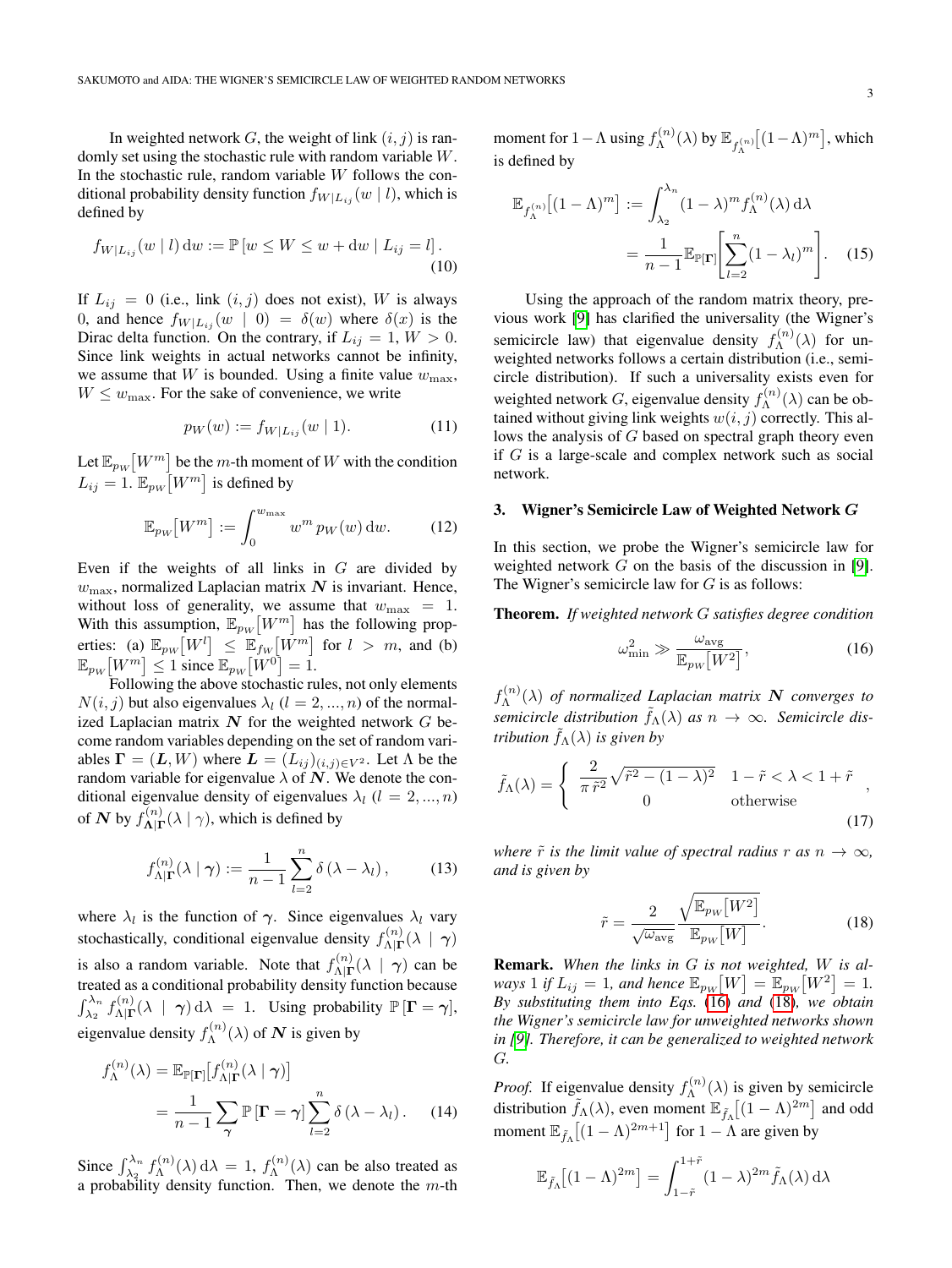In weighted network G, the weight of link  $(i, j)$  is randomly set using the stochastic rule with random variable W. In the stochastic rule, random variable  $W$  follows the conditional probability density function  $f_{W|L_{ii}}(w | l)$ , which is defined by

$$
f_{W|L_{ij}}(w | l) dw := \mathbb{P}[w \le W \le w + dw | L_{ij} = l].
$$
\n(10)

If  $L_{ij} = 0$  (i.e., link  $(i, j)$  does not exist), W is always 0, and hence  $f_{W|L_{ij}}(w | 0) = \delta(w)$  where  $\delta(x)$  is the Dirac delta function. On the contrary, if  $L_{ij} = 1, W > 0$ . Since link weights in actual networks cannot be infinity, we assume that W is bounded. Using a finite value  $w_{\text{max}}$ ,  $W \leq w_{\text{max}}$ . For the sake of convenience, we write

$$
p_W(w) := f_{W|L_{ij}}(w | 1).
$$
 (11)

Let  $\mathbb{E}_{p_W}[W^m]$  be the m-th moment of  $W$  with the condition  $L_{ij} = 1$ .  $\mathbb{E}_{pw} \left[ W^m \right]$  is defined by

$$
\mathbb{E}_{p_W}[W^m] := \int_0^{w_{\text{max}}} w^m \, p_W(w) \, \mathrm{d}w. \tag{12}
$$

Even if the weights of all links in  $G$  are divided by  $w_{\text{max}}$ , normalized Laplacian matrix N is invariant. Hence, without loss of generality, we assume that  $w_{\text{max}} = 1$ . With this assumption,  $\mathbb{E}_{p_W}[W^m]$  has the following properties: (a)  $\mathbb{E}_{pw}\left[W^l\right] \leq \mathbb{E}_{fw}\left[W^m\right]$  for  $l > m$ , and (b)  $\mathbb{E}_{p_W} \big[ W^m \big] \leq 1$  since  $\mathbb{E}_{p_W} \big[ W^0 \big] = 1$ .

Following the above stochastic rules, not only elements  $N(i, j)$  but also eigenvalues  $\lambda_l$  ( $l = 2, ..., n$ ) of the normalized Laplacian matrix  $N$  for the weighted network  $G$  become random variables depending on the set of random variables  $\mathbf{\Gamma} = (\mathbf{L}, W)$  where  $\mathbf{L} = (L_{ij})_{(i,j) \in V^2}$ . Let  $\Lambda$  be the random variable for eigenvalue  $\lambda$  of  $\dot{N}$ . We denote the conditional eigenvalue density of eigenvalues  $\lambda_l$  ( $l = 2, ..., n$ ) of N by  $f_{\mathbf{A}|\mathbf{I}}^{(n)}$  $\Lambda^{(n)}_{\vert \Gamma}(\lambda \vert \gamma)$ , which is defined by

$$
f_{\Lambda|\Gamma}^{(n)}(\lambda \mid \gamma) := \frac{1}{n-1} \sum_{l=2}^{n} \delta(\lambda - \lambda_l), \quad (13)
$$

where  $\lambda_l$  is the function of  $\gamma$ . Since eigenvalues  $\lambda_l$  vary stochastically, conditional eigenvalue density  $f_{\text{AIT}}^{(n)}$  $\Lambda^{(n)}_{\mathbf{\Lambda}|\mathbf{\Gamma}}(\lambda \,\mid\, \boldsymbol{\gamma})$ is also a random variable. Note that  $f_{\text{AIT}}^{(n)}$  $\chi^{(n)}_{\Lambda|\Gamma}(\lambda \mid \gamma)$  can be treated as a conditional probability density function because  $\int_{\lambda_2}^{\lambda_n} f_{\Lambda|\Gamma}^{(n)}$  $\Lambda_{\mathbf{A}|\mathbf{\Gamma}}^{(n)}(\lambda \mid \gamma) d\lambda = 1$ . Using probability  $\mathbb{P}[\mathbf{\Gamma} = \gamma],$ eigenvalue density  $f_{\Lambda}^{(n)}$  $\Lambda^{(n)}(\lambda)$  of  $N$  is given by

$$
f_{\Lambda}^{(n)}(\lambda) = \mathbb{E}_{\mathbb{P}[\Gamma]}[f_{\Lambda|\Gamma}^{(n)}(\lambda | \gamma)]
$$
  
= 
$$
\frac{1}{n-1} \sum_{\gamma} \mathbb{P}[\Gamma = \gamma] \sum_{l=2}^{n} \delta(\lambda - \lambda_l).
$$
 (14)

Since  $\int_{\lambda_2}^{\lambda_n} f_{\Lambda}^{(n)}$  $f_{\Lambda}^{(n)}(\lambda) d\lambda = 1, f_{\Lambda}^{(n)}$  $\Lambda^{(n)}(\lambda)$  can be also treated as a probability density function. Then, we denote the  $m$ -th moment for 1 –  $\Lambda$  using  $f_{\Lambda}^{(n)}$  $\mathbb{E}_{f^{(n)}_{\Lambda}}(\lambda)$  by  $\mathbb{E}_{f^{(n)}_{\Lambda}}[(1-\Lambda)^m]$  , which is defined by

<span id="page-2-3"></span>
$$
\mathbb{E}_{f_{\Lambda}^{(n)}}[(1-\Lambda)^m] := \int_{\lambda_2}^{\lambda_n} (1-\lambda)^m f_{\Lambda}^{(n)}(\lambda) d\lambda
$$

$$
= \frac{1}{n-1} \mathbb{E}_{\mathbb{P}[\Gamma]} \bigg[ \sum_{l=2}^n (1-\lambda_l)^m \bigg]. \quad (15)
$$

Using the approach of the random matrix theory, previous work [\[9\]](#page-9-5) has clarified the universality (the Wigner's semicircle law) that eigenvalue density  $f_{\Lambda}^{(n)}$  $\Lambda^{(n)}(\lambda)$  for unweighted networks follows a certain distribution (i.e., semicircle distribution). If such a universality exists even for weighted network G, eigenvalue density  $f_{\lambda}^{(n)}$  $\Lambda^{(n)}(\lambda)$  can be obtained without giving link weights  $w(i, j)$  correctly. This allows the analysis of G based on spectral graph theory even if G is a large-scale and complex network such as social network.

# <span id="page-2-0"></span>3. Wigner's Semicircle Law of Weighted Network G

In this section, we probe the Wigner's semicircle law for weighted network  $G$  on the basis of the discussion in [\[9\]](#page-9-5). The Wigner's semicircle law for  $G$  is as follows:

Theorem. *If weighted network* G *satisfies degree condition*

<span id="page-2-1"></span>
$$
\omega_{\min}^2 \gg \frac{\omega_{\text{avg}}}{\mathbb{E}_{p_W}[W^2]},\tag{16}
$$

 $f_{\Lambda}^{(n)}$ Λ (λ) *of normalized Laplacian matrix* N *converges to semicircle distribution*  $\tilde{f}_{\Lambda}(\lambda)$  *as*  $n \to \infty$ *. Semicircle distribution*  $f_{\Lambda}(\lambda)$  *is given by* 

$$
\tilde{f}_{\Lambda}(\lambda) = \begin{cases}\n\frac{2}{\pi \tilde{r}^2} \sqrt{\tilde{r}^2 - (1 - \lambda)^2} & 1 - \tilde{r} < \lambda < 1 + \tilde{r} \\
0 & \text{otherwise}\n\end{cases}
$$
\n(17)

*where*  $\tilde{r}$  *is the limit value of spectral radius*  $r$  *as*  $n \to \infty$ *, and is given by*

<span id="page-2-2"></span>
$$
\tilde{r} = \frac{2}{\sqrt{\omega_{\text{avg}}}} \frac{\sqrt{\mathbb{E}_{pw}[W^2]}}{\mathbb{E}_{pw}[W]}.
$$
\n(18)

Remark. *When the links in* G *is not weighted,* W *is al*ways 1 if  $L_{ij} = 1$ , and hence  $\mathbb{E}_{p_W}[W] = \mathbb{E}_{p_W}[W^2] = 1$ . *By substituting them into Eqs.* [\(16\)](#page-2-1) *and* [\(18\)](#page-2-2)*, we obtain the Wigner's semicircle law for unweighted networks shown in [\[9\]](#page-9-5). Therefore, it can be generalized to weighted network* G*.*

*Proof.* If eigenvalue density  $f_{\Lambda}^{(n)}$  $\Lambda^{(n)}(\lambda)$  is given by semicircle distribution  $\tilde{f}_{\Lambda}(\lambda)$ , even moment  $\mathbb{E}_{\tilde{f}_{\Lambda}}[(1-\Lambda)^{2m}]$  and odd moment  $\mathbb{E}_{\tilde{f}_\Lambda}[(1-\Lambda)^{2m+1}]$  for  $1-\Lambda$  are given by

$$
\mathbb{E}_{\tilde{f}_{\Lambda}}[(1-\Lambda)^{2m}] = \int_{1-\tilde{r}}^{1+\tilde{r}} (1-\lambda)^{2m} \tilde{f}_{\Lambda}(\lambda) d\lambda
$$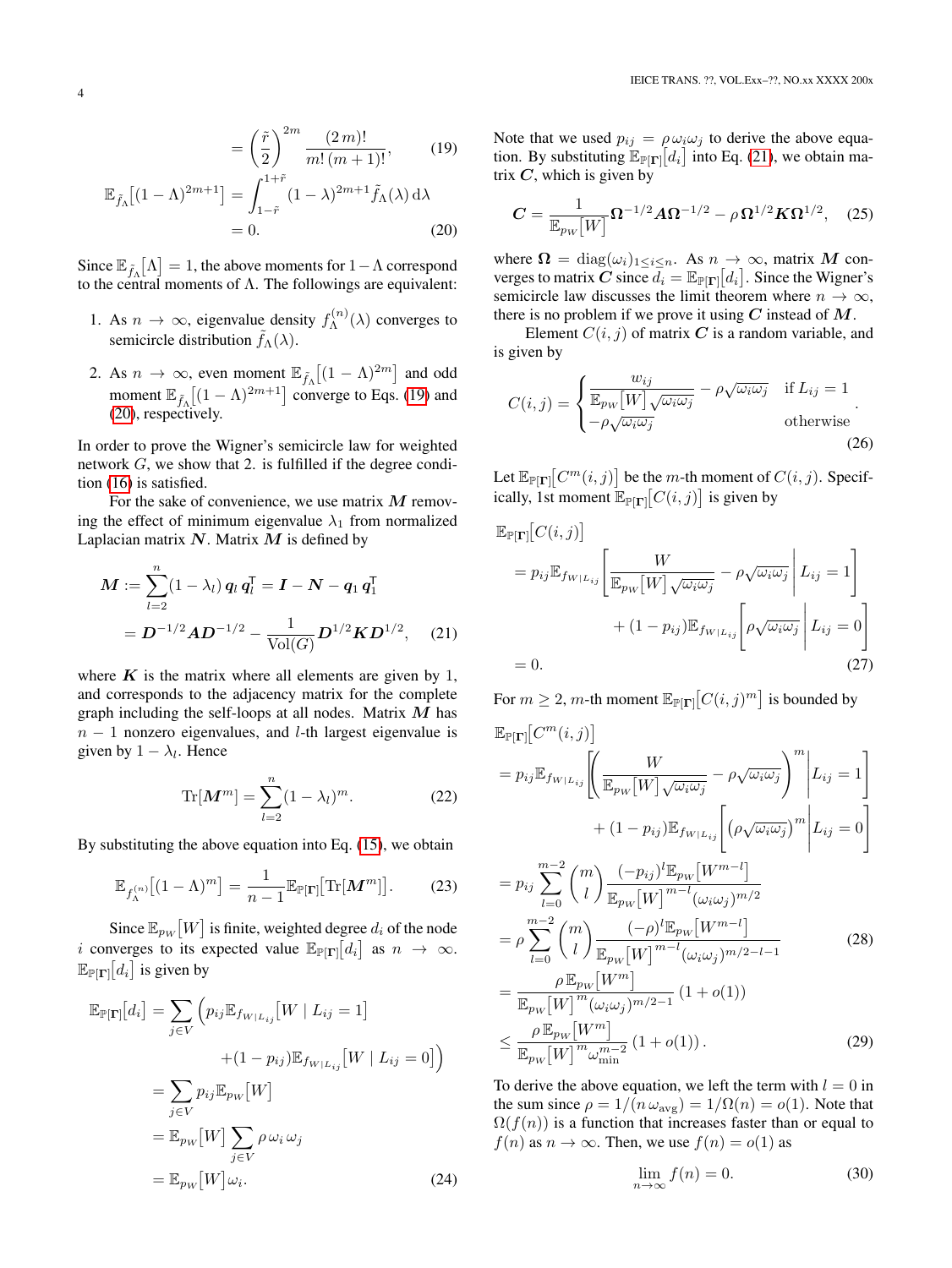$$
\mathbb{E}_{\tilde{f}_{\Lambda}}[(1-\Lambda)^{2m+1}] = \int_{1-\tilde{r}}^{1+\tilde{r}} (1-\lambda)^{2m+1} \tilde{f}_{\Lambda}(\lambda) d\lambda
$$
  
= 0. (20)

Since  $\mathbb{E}_{\tilde{f}_\Lambda}[\Lambda] = 1$ , the above moments for  $1 - \Lambda$  correspond to the central moments of  $\Lambda$ . The followings are equivalent:

- 1. As  $n \to \infty$ , eigenvalue density  $f_{\Lambda}^{(n)}$  $\Lambda^{(n)}(\lambda)$  converges to semicircle distribution  $\tilde{f}_{\Lambda}(\lambda)$ .
- 2. As  $n \to \infty$ , even moment  $\mathbb{E}_{\tilde{f}_\Lambda} \left[ (1 \Lambda)^{2m} \right]$  and odd moment  $\mathbb{E}_{\tilde{f}_\Lambda}[(1-\Lambda)^{2m+1}]$  converge to Eqs. [\(19\)](#page-3-0) and [\(20\)](#page-3-1), respectively.

In order to prove the Wigner's semicircle law for weighted network  $G$ , we show that 2. is fulfilled if the degree condition [\(16\)](#page-2-1) is satisfied.

For the sake of convenience, we use matrix  $M$  removing the effect of minimum eigenvalue  $\lambda_1$  from normalized Laplacian matrix  $N$ . Matrix  $M$  is defined by

$$
\mathbf{M} := \sum_{l=2}^{n} (1 - \lambda_l) \, \mathbf{q}_l \, \mathbf{q}_l^{\mathsf{T}} = \mathbf{I} - \mathbf{N} - \mathbf{q}_1 \, \mathbf{q}_1^{\mathsf{T}}
$$
\n
$$
= \mathbf{D}^{-1/2} \mathbf{A} \mathbf{D}^{-1/2} - \frac{1}{\text{Vol}(G)} \mathbf{D}^{1/2} \mathbf{K} \mathbf{D}^{1/2}, \quad (21)
$$

where  $K$  is the matrix where all elements are given by 1, and corresponds to the adjacency matrix for the complete graph including the self-loops at all nodes. Matrix  $M$  has  $n - 1$  nonzero eigenvalues, and *l*-th largest eigenvalue is given by  $1 - \lambda_l$ . Hence

$$
\text{Tr}[\mathbf{M}^m] = \sum_{l=2}^{n} (1 - \lambda_l)^m.
$$
 (22)

By substituting the above equation into Eq. [\(15\)](#page-2-3), we obtain

$$
\mathbb{E}_{f_{\Lambda}^{(n)}}[(1-\Lambda)^m] = \frac{1}{n-1} \mathbb{E}_{\mathbb{P}[\Gamma]}[\text{Tr}[\mathbf{M}^m]].
$$
 (23)

Since  $\mathbb{E}_{p_W}[W]$  is finite, weighted degree  $d_i$  of the node i converges to its expected value  $\mathbb{E}_{\mathbb{P}[\Gamma]}[d_i]$  as  $n \to \infty$ .  $\mathbb{E}_{\mathbb{P}[\Gamma]}[d_i]$  is given by

$$
\mathbb{E}_{\mathbb{P}[\mathbf{\Gamma}]}[d_i] = \sum_{j \in V} \left( p_{ij} \mathbb{E}_{f_{W|L_{ij}}}[W | L_{ij} = 1] + (1 - p_{ij}) \mathbb{E}_{f_{W|L_{ij}}}[W | L_{ij} = 0] \right)
$$

$$
= \sum_{j \in V} p_{ij} \mathbb{E}_{p_W}[W]
$$

$$
= \mathbb{E}_{p_W}[W] \sum_{j \in V} \rho \omega_i \omega_j
$$

$$
= \mathbb{E}_{p_W}[W] \omega_i. \tag{24}
$$

<span id="page-3-0"></span>Note that we used  $p_{ij} = \rho \omega_i \omega_j$  to derive the above equation. By substituting  $\mathbb{E}_{\mathbb{P}[\Gamma]}[d_i]$  into Eq. [\(21\)](#page-3-2), we obtain matrix  $C$ , which is given by

$$
C = \frac{1}{\mathbb{E}_{p_W}[W]} \Omega^{-1/2} A \Omega^{-1/2} - \rho \Omega^{1/2} K \Omega^{1/2}, \quad (25)
$$

<span id="page-3-1"></span>where  $\Omega = \text{diag}(\omega_i)_{1 \leq i \leq n}$ . As  $n \to \infty$ , matrix M converges to matrix C since  $\bar{d}_i = \mathbb{E}_{\mathbb{P}[\Gamma]}[d_i]$ . Since the Wigner's semicircle law discusses the limit theorem where  $n \to \infty$ , there is no problem if we prove it using  $C$  instead of  $M$ .

Element  $C(i, j)$  of matrix C is a random variable, and is given by

$$
C(i,j) = \begin{cases} \frac{w_{ij}}{\mathbb{E}_{p_W}[W] \sqrt{\omega_i \omega_j}} - \rho \sqrt{\omega_i \omega_j} & \text{if } L_{ij} = 1\\ -\rho \sqrt{\omega_i \omega_j} & \text{otherwise} \end{cases}
$$
 (26)

Let  $\mathbb{E}_{\mathbb{P}[\Gamma]}[C^m(i,j)]$  be the *m*-th moment of  $C(i,j)$ . Specifically, 1st moment  $\mathbb{E}_{\mathbb{P}[\Gamma]}[C(i,j)]$  is given by

$$
\mathbb{E}_{\mathbb{P}[\mathbf{\Gamma}]}[C(i,j)]
$$
\n
$$
= p_{ij} \mathbb{E}_{f_{W|L_{ij}}} \left[ \frac{W}{\mathbb{E}_{p_W}[W] \sqrt{\omega_i \omega_j}} - \rho \sqrt{\omega_i \omega_j} \middle| L_{ij} = 1 \right]
$$
\n
$$
+ (1 - p_{ij}) \mathbb{E}_{f_{W|L_{ij}}} \left[ \rho \sqrt{\omega_i \omega_j} \middle| L_{ij} = 0 \right]
$$
\n
$$
= 0. \tag{27}
$$

<span id="page-3-2"></span>For  $m \geq 2$ , *m*-th moment  $\mathbb{E}_{\mathbb{P}[\Gamma]}[C(i,j)^m]$  is bounded by

$$
\mathbb{E}_{\mathbb{P}[\mathbf{\Gamma}]}[C^m(i,j)]
$$
  
=  $p_{ij} \mathbb{E}_{f_{W|L_{ij}}} \left[ \left( \frac{W}{\mathbb{E}_{p_W}[W] \sqrt{\omega_i \omega_j}} - \rho \sqrt{\omega_i \omega_j} \right)^m \middle| L_{ij} = 1 \right]$   
+  $(1 - p_{ij}) \mathbb{E}_{f_{W|L_{ij}}} \left[ \left( \rho \sqrt{\omega_i \omega_j} \right)^m \middle| L_{ij} = 0 \right]$   
=  $p_{ij} \sum_{i=1}^{m-2} {m \choose i} \frac{(-p_{ij})^l \mathbb{E}_{p_W}[W^{m-l}]}{m}$ 

<span id="page-3-3"></span>
$$
= p_{ij} \sum_{l=0}^{n} {\binom{n}{l}} \frac{\frac{P_{ij} - p_W}{P_W} \frac{1}{P_W}}{\mathbb{E}_{p_W}[W]^{m-l} (\omega_i \omega_j)^{m/2}} \n= \rho \sum_{l=0}^{m-2} {\binom{n}{l}} \frac{(-\rho)^l \mathbb{E}_{p_W}[W^{m-l}]}{\mathbb{E}_{p_W}[W]^{m-l} (\omega_i \omega_j)^{m/2-l-1}} \n= \frac{\rho \mathbb{E}_{p_W}[W^m]}{\mathbb{E}_{p_W}[W]^{m} (\omega_i \omega_j)^{m/2-1}} (1 + o(1)) \n\le \frac{\rho \mathbb{E}_{p_W}[W^m]}{\mathbb{E}_{p_W}[W]^{m} \omega_{\min}^{m-2}} (1 + o(1)).
$$
\n(29)

To derive the above equation, we left the term with  $l = 0$  in the sum since  $\rho = 1/(n \omega_{\text{avg}}) = 1/\Omega(n) = o(1)$ . Note that  $\Omega(f(n))$  is a function that increases faster than or equal to  $f(n)$  as  $n \to \infty$ . Then, we use  $f(n) = o(1)$  as

<span id="page-3-5"></span><span id="page-3-4"></span>
$$
\lim_{n \to \infty} f(n) = 0. \tag{30}
$$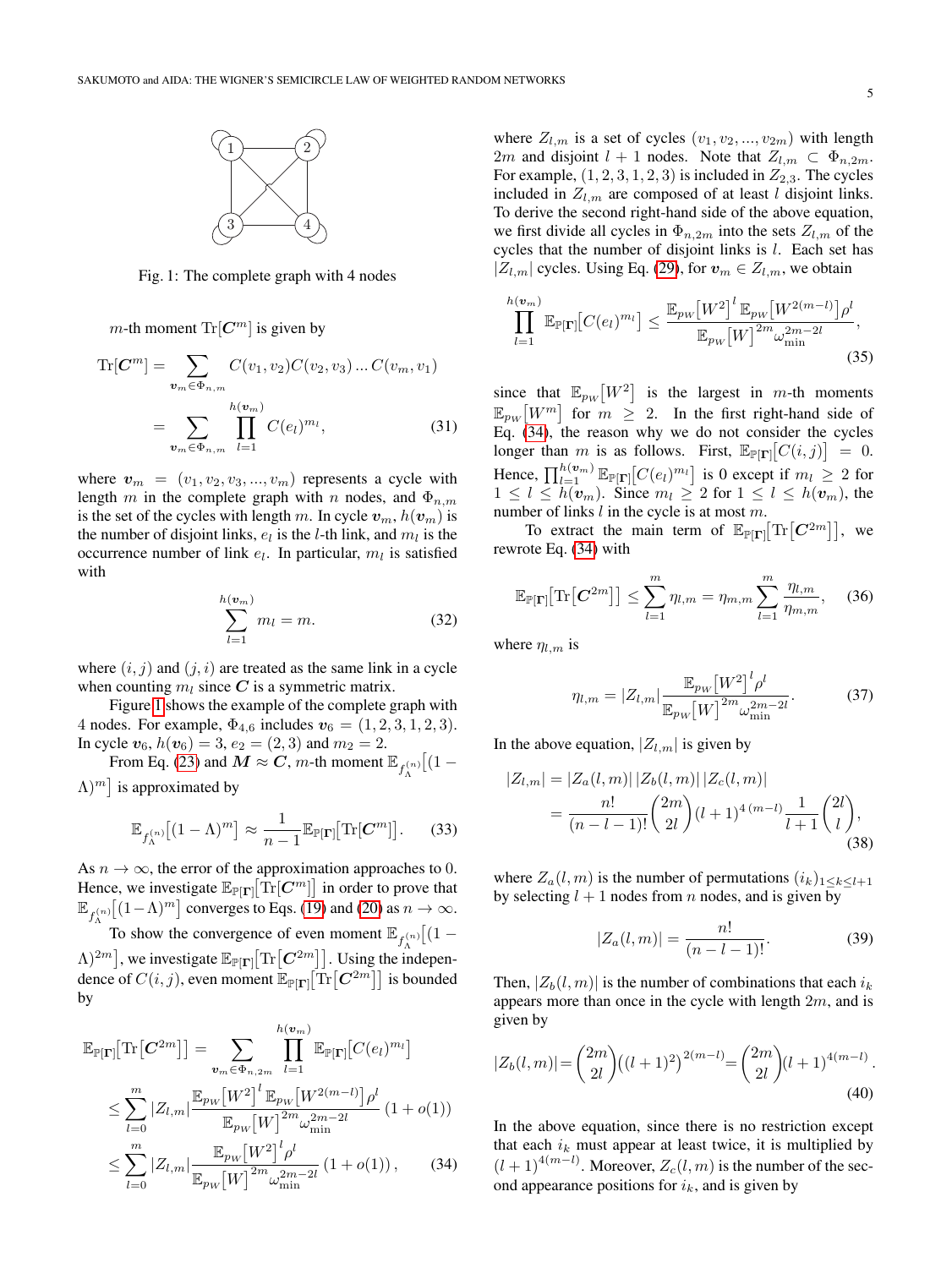

<span id="page-4-0"></span>Fig. 1: The complete graph with 4 nodes

m-th moment  $\text{Tr}[\mathbf{C}^m]$  is given by

$$
\text{Tr}[\mathbf{C}^m] = \sum_{\mathbf{v}_m \in \Phi_{n,m}} C(v_1, v_2) C(v_2, v_3) \dots C(v_m, v_1)
$$

$$
= \sum_{\mathbf{v}_m \in \Phi_{n,m}} \prod_{l=1}^{h(\mathbf{v}_m)} C(e_l)^{m_l}, \tag{31}
$$

where  $v_m = (v_1, v_2, v_3, ..., v_m)$  represents a cycle with length m in the complete graph with n nodes, and  $\Phi_{n,m}$ is the set of the cycles with length m. In cycle  $v_m$ ,  $h(v_m)$  is the number of disjoint links,  $e_l$  is the *l*-th link, and  $m_l$  is the occurrence number of link  $e_l$ . In particular,  $m_l$  is satisfied with

$$
\sum_{l=1}^{h(\boldsymbol{v}_m)} m_l = m.
$$
 (32)

where  $(i, j)$  and  $(j, i)$  are treated as the same link in a cycle when counting  $m_l$  since C is a symmetric matrix.

Figure [1](#page-4-0) shows the example of the complete graph with 4 nodes. For example,  $\Phi_{4,6}$  includes  $v_6 = (1, 2, 3, 1, 2, 3)$ . In cycle  $v_6$ ,  $h(v_6) = 3$ ,  $e_2 = (2, 3)$  and  $m_2 = 2$ .

From Eq. [\(23\)](#page-3-3) and  $M \approx C$ , *m*-th moment  $\mathbb{E}_{f_{\Lambda}^{(n)}}[(1 \Lambda$ )<sup>*m*</sup> is approximated by

$$
\mathbb{E}_{f_{\Lambda}^{(n)}}[(1-\Lambda)^m] \approx \frac{1}{n-1} \mathbb{E}_{\mathbb{P}[\Gamma]}[\text{Tr}[\boldsymbol{C}^m]]. \qquad (33)
$$

As  $n \to \infty$ , the error of the approximation approaches to 0. Hence, we investigate  $\mathbb{E}_{\mathbb{P}[\Gamma]}[\text{Tr}[C^m]]$  in order to prove that  $\mathbb{E}_{f_{\Lambda}^{(n)}}[(1-\Lambda)^m]$  converges to Eqs. [\(19\)](#page-3-0) and [\(20\)](#page-3-1) as  $n \to \infty$ .

To show the convergence of even moment  $\mathbb{E}_{f_{\lambda}^{(n)}}[(1 \Lambda$ )<sup>2*m*</sup>], we investigate  $\mathbb{E}_{\mathbb{P}[\Gamma]}[\text{Tr}\left[\mathbf{C}^{2m}\right]]$ . Using the independence of  $C(i, j)$ , even moment  $\mathbb{E}_{\mathbb{P}[\Gamma]}[\text{Tr}[\mathbf{C}^{2m}]]$  is bounded by

$$
\mathbb{E}_{\mathbb{P}[\mathbf{\Gamma}]}[\text{Tr}[\mathbf{C}^{2m}]] = \sum_{\mathbf{v}_{m} \in \Phi_{n,2m}} \prod_{l=1}^{h(\mathbf{v}_{m})} \mathbb{E}_{\mathbb{P}[\mathbf{\Gamma}]}[C(e_{l})^{m_{l}}]
$$
  
\n
$$
\leq \sum_{l=0}^{m} |Z_{l,m}| \frac{\mathbb{E}_{p_{W}}[W^{2}]^{l} \mathbb{E}_{p_{W}}[W^{2(m-l)}] \rho^{l}}{\mathbb{E}_{p_{W}}[W]^{2m} \omega_{\min}^{2m-2l}} (1+o(1))
$$
  
\n
$$
\leq \sum_{l=0}^{m} |Z_{l,m}| \frac{\mathbb{E}_{p_{W}}[W^{2}]^{l} \rho^{l}}{\mathbb{E}_{p_{W}}[W]^{2m} \omega_{\min}^{2m-2l}} (1+o(1)), \qquad (34)
$$

where  $Z_{l,m}$  is a set of cycles  $(v_1, v_2, ..., v_{2m})$  with length 2m and disjoint  $l + 1$  nodes. Note that  $Z_{l,m} \subset \Phi_{n,2m}$ . For example,  $(1, 2, 3, 1, 2, 3)$  is included in  $Z_{2,3}$ . The cycles included in  $Z_{l,m}$  are composed of at least l disjoint links. To derive the second right-hand side of the above equation, we first divide all cycles in  $\Phi_{n,2m}$  into the sets  $Z_{l,m}$  of the cycles that the number of disjoint links is l. Each set has  $|Z_{l,m}|$  cycles. Using Eq. [\(29\)](#page-3-4), for  $v_m \in Z_{l,m}$ , we obtain

$$
\prod_{l=1}^{h(w_m)} \mathbb{E}_{\mathbb{P}[\Gamma]}[C(e_l)^{m_l}] \le \frac{\mathbb{E}_{p_W}[W^2]^l \mathbb{E}_{p_W}[W^{2(m-l)}]\rho^l}{\mathbb{E}_{p_W}[W]^{2m} \omega_{\min}^{2m-2l}},
$$
\n(35)

since that  $\mathbb{E}_{p_W}[W^2]$  is the largest in m-th moments  $\mathbb{E}_{pw}[W^m]$  for  $m \geq 2$ . In the first right-hand side of Eq. [\(34\)](#page-4-1), the reason why we do not consider the cycles longer than m is as follows. First,  $\mathbb{E}_{\mathbb{P}[\Gamma]}[C(i,j)] = 0$ . Hence,  $\prod_{l=1}^{h(\mathbf{v}_m)} \mathbb{E}_{\mathbb{P}[\mathbf{\Gamma}]}[C(e_l)^{m_l}]$  is 0 except if  $m_l \geq 2$  for  $1 \leq l \leq h(\mathbf{v}_m)$ . Since  $m_l \geq 2$  for  $1 \leq l \leq h(\mathbf{v}_m)$ , the number of links  $l$  in the cycle is at most  $m$ .

To extract the main term of  $\mathbb{E}_{\mathbb{P}[\Gamma]}[\text{Tr}[C^{2m}]]$ , we rewrote Eq. [\(34\)](#page-4-1) with

$$
\mathbb{E}_{\mathbb{P}[\Gamma]}[\text{Tr}\big[\mathbf{C}^{2m}\big]\big] \le \sum_{l=1}^{m} \eta_{l,m} = \eta_{m,m} \sum_{l=1}^{m} \frac{\eta_{l,m}}{\eta_{m,m}}, \quad (36)
$$

where  $\eta_{l,m}$  is

<span id="page-4-4"></span><span id="page-4-3"></span>
$$
\eta_{l,m} = |Z_{l,m}| \frac{\mathbb{E}_{p_W} [W^2]^l \rho^l}{\mathbb{E}_{p_W} [W]^{2m} \omega_{\min}^{2m-2l}}.
$$
 (37)

In the above equation,  $|Z_{l,m}|$  is given by

$$
|Z_{l,m}| = |Z_a(l,m)| |Z_b(l,m)| |Z_c(l,m)|
$$
  
= 
$$
\frac{n!}{(n-l-1)!} {2m \choose 2l} (l+1)^{4(m-l)} \frac{1}{l+1} {2l \choose l},
$$
  
(38)

where  $Z_a(l,m)$  is the number of permutations  $(i_k)_{1\leq k\leq l+1}$ by selecting  $l + 1$  nodes from n nodes, and is given by

<span id="page-4-2"></span>
$$
|Z_a(l,m)| = \frac{n!}{(n-l-1)!}.
$$
 (39)

Then,  $|Z_b(l, m)|$  is the number of combinations that each  $i_k$ appears more than once in the cycle with length  $2m$ , and is given by

$$
|Z_b(l,m)| = \binom{2m}{2l} \left( (l+1)^2 \right)^{2(m-l)} = \binom{2m}{2l} (l+1)^{4(m-l)}.
$$
\n(40)

<span id="page-4-1"></span>In the above equation, since there is no restriction except that each  $i_k$  must appear at least twice, it is multiplied by  $(l+1)^{4(m-l)}$ . Moreover,  $Z_c(l,m)$  is the number of the second appearance positions for  $i_k$ , and is given by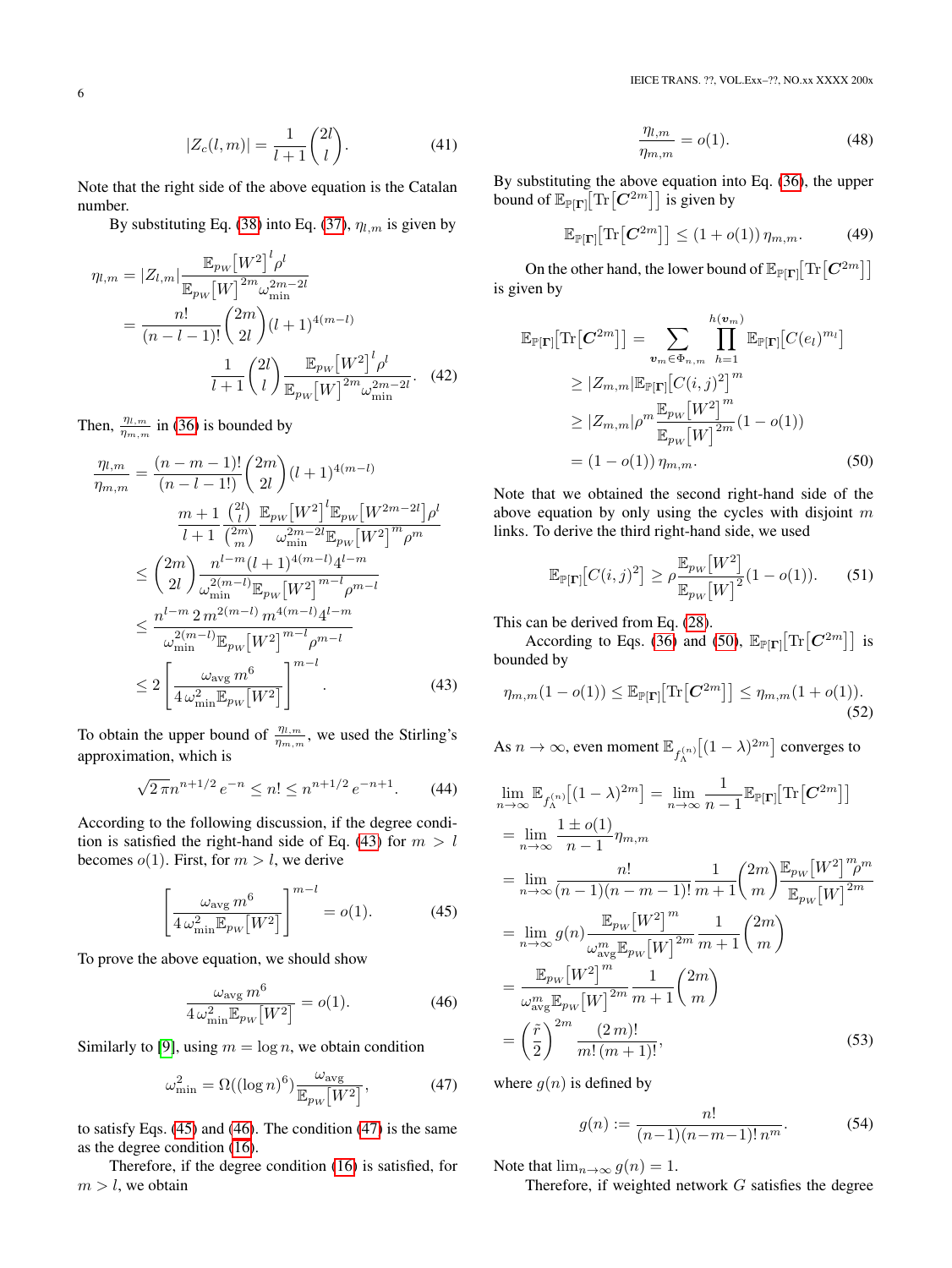$$
|Z_c(l,m)| = \frac{1}{l+1} \binom{2l}{l}.
$$
 (41)

Note that the right side of the above equation is the Catalan number.

By substituting Eq. [\(38\)](#page-4-2) into Eq. [\(37\)](#page-4-3),  $\eta_{l,m}$  is given by

$$
\eta_{l,m} = |Z_{l,m}| \frac{\mathbb{E}_{p_W} [W^2]^l \rho^l}{\mathbb{E}_{p_W} [W]^{2m} \omega_{\min}^{2m-2l}} \n= \frac{n!}{(n-l-1)!} \binom{2m}{2l} (l+1)^{4(m-l)} \n\frac{1}{l+1} \binom{2l}{l} \frac{\mathbb{E}_{p_W} [W^2]^l \rho^l}{\mathbb{E}_{p_W} [W]^{2m} \omega_{\min}^{2m-2l}}.
$$
\n(42)

Then,  $\frac{\eta_{l,m}}{\eta_{m,m}}$  in [\(36\)](#page-4-4) is bounded by

$$
\frac{\eta_{l,m}}{\eta_{m,m}} = \frac{(n-m-1)!}{(n-l-1)!} \binom{2m}{2l} (l+1)^{4(m-l)} \n\frac{m+1}{l+1} \frac{\binom{2l}{l}}{\binom{2m}{m}} \frac{\mathbb{E}_{p_W} [W^2]^l \mathbb{E}_{p_W} [W^{2m-2l}] \rho^l}{\omega_{\min}^{2m-2l} \mathbb{E}_{p_W} [W^2]^m \rho^m} \n\leq \binom{2m}{2l} \frac{n^{l-m} (l+1)^{4(m-l)} 4^{l-m}}{\omega_{\min}^{2(m-l)} \mathbb{E}_{p_W} [W^2]^{m-l} \rho^{m-l}} \n\leq \frac{n^{l-m} 2 m^{2(m-l)} m^{4(m-l)} 4^{l-m}}{\omega_{\min}^{2(m-l)} \mathbb{E}_{p_W} [W^2]^{m-l} \rho^{m-l}} \n\leq 2 \left[ \frac{\omega_{\text{avg}} m^6}{4 \omega_{\min}^2 \mathbb{E}_{p_W} [W^2]} \right]^{m-l}.
$$
\n(43)

To obtain the upper bound of  $\frac{\eta_{l,m}}{\eta_{m,m}}$ , we used the Stirling's approximation, which is

$$
\sqrt{2\pi}n^{n+1/2}e^{-n} \le n! \le n^{n+1/2}e^{-n+1}.\tag{44}
$$

According to the following discussion, if the degree condi-tion is satisfied the right-hand side of Eq. [\(43\)](#page-5-0) for  $m > l$ becomes  $o(1)$ . First, for  $m > l$ , we derive

$$
\left[\frac{\omega_{\text{avg}} m^6}{4 \omega_{\text{min}}^2 \mathbb{E}_{pw}[W^2]}\right]^{m-l} = o(1). \tag{45}
$$

To prove the above equation, we should show

$$
\frac{\omega_{\text{avg}} m^6}{4 \omega_{\text{min}}^2 \mathbb{E}_{pw}[W^2]} = o(1). \tag{46}
$$

Similarly to [\[9\]](#page-9-5), using  $m = \log n$ , we obtain condition

$$
\omega_{\min}^2 = \Omega((\log n)^6) \frac{\omega_{\text{avg}}}{\mathbb{E}_{p_W}[W^2]},\tag{47}
$$

to satisfy Eqs. [\(45\)](#page-5-1) and [\(46\)](#page-5-2). The condition [\(47\)](#page-5-3) is the same as the degree condition [\(16\)](#page-2-1).

Therefore, if the degree condition [\(16\)](#page-2-1) is satisfied, for  $m > l$ , we obtain

$$
\frac{\eta_{l,m}}{\eta_{m,m}} = o(1). \tag{48}
$$

By substituting the above equation into Eq. [\(36\)](#page-4-4), the upper bound of  $\mathbb{E}_{\mathbb{P}[\Gamma]}[\text{Tr}\left[\mathbf{C}^{2m}\right]]$  is given by

$$
\mathbb{E}_{\mathbb{P}[\Gamma]}[\text{Tr}\big[\boldsymbol{C}^{2m}\big]\big] \le (1+o(1))\,\eta_{m,m}.\tag{49}
$$

On the other hand, the lower bound of  $\mathbb{E}_{\mathbb{P}[\Gamma]}[\text{Tr}\big[\pmb{C}^{2m}\big]\big]$ is given by

$$
\mathbb{E}_{\mathbb{P}[\Gamma]}[\text{Tr}[\mathbf{C}^{2m}]] = \sum_{\mathbf{v}_m \in \Phi_{n,m}} \prod_{h=1}^{h(\mathbf{v}_m)} \mathbb{E}_{\mathbb{P}[\Gamma]}[C(e_l)^{m_l}]
$$
  
\n
$$
\geq |Z_{m,m}| \mathbb{E}_{\mathbb{P}[\Gamma]}[C(i,j)^2]^m
$$
  
\n
$$
\geq |Z_{m,m}| \rho^m \frac{\mathbb{E}_{p_W}[W^2]^m}{\mathbb{E}_{p_W}[W]^{2m}} (1 - o(1))
$$
  
\n
$$
= (1 - o(1)) \eta_{m,m}.
$$
 (50)

Note that we obtained the second right-hand side of the above equation by only using the cycles with disjoint  $m$ links. To derive the third right-hand side, we used

<span id="page-5-4"></span>
$$
\mathbb{E}_{\mathbb{P}[\Gamma]}[C(i,j)^2] \ge \rho \frac{\mathbb{E}_{p_W}[W^2]}{\mathbb{E}_{p_W}[W]^2} (1 - o(1)).
$$
 (51)

This can be derived from Eq. [\(28\)](#page-3-5).

<span id="page-5-0"></span>According to Eqs. [\(36\)](#page-4-4) and [\(50\)](#page-5-4),  $\mathbb{E}_{\mathbb{P}[\Gamma]}[\text{Tr}\left[\mathbf{C}^{2m}\right]]$  is bounded by

$$
\eta_{m,m}(1 - o(1)) \leq \mathbb{E}_{\mathbb{P}[\Gamma]}[\text{Tr}\big[\mathbf{C}^{2m}\big]\big] \leq \eta_{m,m}(1 + o(1)).
$$
\n(52)

As  $n \to \infty$ , even moment  $\mathbb{E}_{f_{\Lambda}^{(n)}} \big[ (1 - \lambda)^{2m} \big]$  converges to

<span id="page-5-1"></span>
$$
\lim_{n \to \infty} \mathbb{E}_{f_{\Lambda}^{(n)}}[(1-\lambda)^{2m}] = \lim_{n \to \infty} \frac{1}{n-1} \mathbb{E}_{\mathbb{P}[\mathbf{\Gamma}]}[\text{Tr}[\mathbf{C}^{2m}]]
$$
\n
$$
= \lim_{n \to \infty} \frac{1 \pm o(1)}{n-1} \eta_{m,m}
$$
\n
$$
= \lim_{n \to \infty} \frac{n!}{(n-1)(n-m-1)!} \frac{1}{m+1} {2m \choose m} \frac{\mathbb{E}_{pw}[W^2]^m m}{\mathbb{E}_{pw}[W]^2^m}
$$
\n
$$
= \lim_{n \to \infty} g(n) \frac{\mathbb{E}_{pw}[W^2]^m}{\omega_{\text{avg}}^m \mathbb{E}_{pw}[W]^2^m} \frac{1}{m+1} {2m \choose m}
$$
\n
$$
= \frac{\mathbb{E}_{pw}[W^2]^m}{\omega_{\text{avg}}^m \mathbb{E}_{pw}[W]^2^m} \frac{1}{m+1} {2m \choose m}
$$
\n
$$
= \left(\frac{\tilde{r}}{2}\right)^{2m} \frac{(2m)!}{m!(m+1)!}, \tag{53}
$$

<span id="page-5-3"></span><span id="page-5-2"></span>where  $g(n)$  is defined by

$$
g(n) := \frac{n!}{(n-1)(n-m-1)! \, n^m}.\tag{54}
$$

Note that  $\lim_{n\to\infty} g(n) = 1$ .

Therefore, if weighted network  $G$  satisfies the degree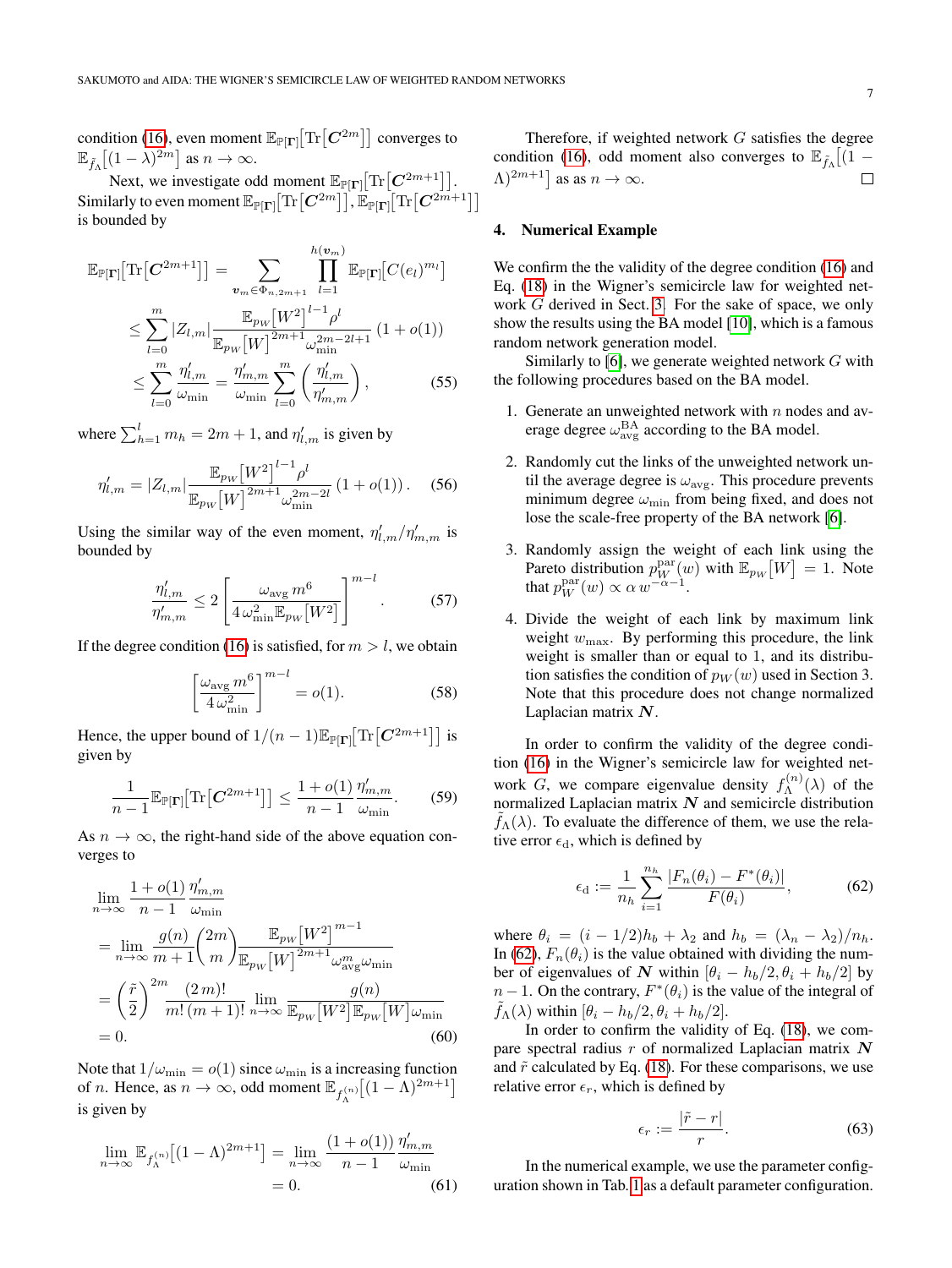condition [\(16\)](#page-2-1), even moment  $\mathbb{E}_{\mathbb{P}[\Gamma]}[\text{Tr}\big[\pmb{C}^{2m}\big]\big]$  converges to  $\mathbb{E}_{\tilde{f}_{\Lambda}}[(1-\lambda)^{2m}]$  as  $n \to \infty$ .

Next, we investigate odd moment  $\mathbb{E}_{\mathbb{P}[\Gamma]}[\text{Tr}\big[C^{2m+1}\big]].$ Similarly to even moment  $\mathbb{E}_{\mathbb{P}[\Gamma]}[\text{Tr}\big[C^{2m}\big]\big], \mathbb{E}_{\mathbb{P}[\Gamma]}[\text{Tr}\big[C^{2m+1}\big]]$ is bounded by

$$
\mathbb{E}_{\mathbb{P}[\Gamma]}[\text{Tr}[\mathbf{C}^{2m+1}]] = \sum_{\mathbf{v}_{m} \in \Phi_{n,2m+1}} \prod_{l=1}^{h(\mathbf{v}_{m})} \mathbb{E}_{\mathbb{P}[\Gamma]}[C(e_{l})^{m_{l}}] \n\leq \sum_{l=0}^{m} |Z_{l,m}| \frac{\mathbb{E}_{p_{W}}[W^{2}]^{l-1} \rho^{l}}{\mathbb{E}_{p_{W}}[W]^{2m+1} \omega_{m}^{2m-2l+1}} (1+o(1)) \n\leq \sum_{l=0}^{m} \frac{\eta'_{l,m}}{\omega_{\min}} = \frac{\eta'_{m,m}}{\omega_{\min}} \sum_{l=0}^{m} \left(\frac{\eta'_{l,m}}{\eta'_{m,m}}\right),
$$
\n(55)

where  $\sum_{h=1}^{l} m_h = 2m + 1$ , and  $\eta'_{l,m}$  is given by

$$
\eta'_{l,m} = |Z_{l,m}| \frac{\mathbb{E}_{pw} [W^2]^{l-1} \rho^l}{\mathbb{E}_{pw} [W]^{2m+1} \omega_{\min}^{2m-2l}} (1+o(1)).
$$
 (56)

Using the similar way of the even moment,  $\eta'_{l,m}/\eta'_{m,m}$  is bounded by

$$
\frac{\eta'_{l,m}}{\eta'_{m,m}} \le 2 \left[ \frac{\omega_{\text{avg}} m^6}{4 \omega_{\text{min}}^2 \mathbb{E}_{p_W} [W^2]} \right]^{m-l} . \tag{57}
$$

If the degree condition [\(16\)](#page-2-1) is satisfied, for  $m > l$ , we obtain

$$
\left[\frac{\omega_{\text{avg}} m^6}{4 \omega_{\text{min}}^2}\right]^{m-l} = o(1). \tag{58}
$$

Hence, the upper bound of  $1/(n-1)\mathbb{E}_{\mathbb{P}[\Gamma]}[\text{Tr}\left[\mathbf{C}^{2m+1}\right]]$  is given by

$$
\frac{1}{n-1} \mathbb{E}_{\mathbb{P}[\Gamma]}[\text{Tr}\big[\boldsymbol{C}^{2m+1}\big]\big] \le \frac{1+o(1)}{n-1} \frac{\eta'_{m,m}}{\omega_{\min}}.\tag{59}
$$

As  $n \to \infty$ , the right-hand side of the above equation converges to

$$
\lim_{n \to \infty} \frac{1 + o(1)}{n - 1} \frac{\eta'_{m,m}}{\omega_{\min}}
$$
\n
$$
= \lim_{n \to \infty} \frac{g(n)}{m + 1} \left(\frac{2m}{m}\right) \frac{\mathbb{E}_{p_W}[W^2]^{m - 1}}{\mathbb{E}_{p_W}[W]^{2m + 1} \omega_{\text{avg}}^m \omega_{\min}}
$$
\n
$$
= \left(\frac{\tilde{r}}{2}\right)^{2m} \frac{(2m)!}{m! (m + 1)!} \lim_{n \to \infty} \frac{g(n)}{\mathbb{E}_{p_W}[W^2] \mathbb{E}_{p_W}[W] \omega_{\min}}
$$
\n
$$
= 0. \tag{60}
$$

Note that  $1/\omega_{\min} = o(1)$  since  $\omega_{\min}$  is a increasing function of *n*. Hence, as  $n \to \infty$ , odd moment  $\mathbb{E}_{f_{\Lambda}^{(n)}}[(1-\Lambda)^{2m+1}]$ is given by

$$
\lim_{n \to \infty} \mathbb{E}_{f_{\Lambda}^{(n)}} \left[ (1 - \Lambda)^{2m+1} \right] = \lim_{n \to \infty} \frac{(1 + o(1))}{n - 1} \frac{\eta'_{m,m}}{\omega_{\min}}
$$
  
= 0. (61)

Therefore, if weighted network G satisfies the degree condition [\(16\)](#page-2-1), odd moment also converges to  $\mathbb{E}_{\tilde{f}_\Lambda}[(1 (\Lambda)^{2m+1}$  as as  $n \to \infty$ .  $\Box$ 

#### <span id="page-6-0"></span>4. Numerical Example

We confirm the the validity of the degree condition [\(16\)](#page-2-1) and Eq. [\(18\)](#page-2-2) in the Wigner's semicircle law for weighted network G derived in Sect. [3.](#page-2-0) For the sake of space, we only show the results using the BA model [\[10\]](#page-9-6), which is a famous random network generation model.

Similarly to [\[6\]](#page-9-3), we generate weighted network  $G$  with the following procedures based on the BA model.

- 1. Generate an unweighted network with  $n$  nodes and average degree  $\omega_{\text{avg}}^{\text{BA}}$  according to the BA model.
- 2. Randomly cut the links of the unweighted network until the average degree is  $\omega_{\text{avg}}$ . This procedure prevents minimum degree  $\omega_{\min}$  from being fixed, and does not lose the scale-free property of the BA network [\[6\]](#page-9-3).
- 3. Randomly assign the weight of each link using the Pareto distribution  $p_W^{\text{par}}(w)$  with  $\mathbb{E}_{pw}[W] = 1$ . Note that  $p_W^{\text{par}}(w) \propto \alpha w^{-\alpha-1}$ .
- 4. Divide the weight of each link by maximum link weight  $w_{\text{max}}$ . By performing this procedure, the link weight is smaller than or equal to 1, and its distribution satisfies the condition of  $p_W(w)$  used in Section 3. Note that this procedure does not change normalized Laplacian matrix  $N$ .

In order to confirm the validity of the degree condition [\(16\)](#page-2-1) in the Wigner's semicircle law for weighted network G, we compare eigenvalue density  $f_{\Lambda}^{(n)}$  $\Lambda^{(n)}(\lambda)$  of the normalized Laplacian matrix  $N$  and semicircle distribution  $f_{\Lambda}(\lambda)$ . To evaluate the difference of them, we use the relative error  $\epsilon_d$ , which is defined by

<span id="page-6-1"></span>
$$
\epsilon_{\rm d} := \frac{1}{n_h} \sum_{i=1}^{n_h} \frac{|F_n(\theta_i) - F^*(\theta_i)|}{F(\theta_i)},
$$
(62)

where  $\theta_i = (i - 1/2)h_b + \lambda_2$  and  $h_b = (\lambda_n - \lambda_2)/n_b$ . In [\(62\)](#page-6-1),  $F_n(\theta_i)$  is the value obtained with dividing the number of eigenvalues of N within  $[\theta_i - h_b/2, \theta_i + h_b/2]$  by  $n-1$ . On the contrary,  $F^*(\theta_i)$  is the value of the integral of  $f_{\Lambda}(\lambda)$  within  $[\theta_i - h_b/2, \theta_i + h_b/2]$ .

In order to confirm the validity of Eq. [\(18\)](#page-2-2), we compare spectral radius  $r$  of normalized Laplacian matrix  $N$ and  $\tilde{r}$  calculated by Eq. [\(18\)](#page-2-2). For these comparisons, we use relative error  $\epsilon_r$ , which is defined by

$$
\epsilon_r := \frac{|\tilde{r} - r|}{r}.\tag{63}
$$

In the numerical example, we use the parameter configuration shown in Tab. [1](#page-7-0) as a default parameter configuration.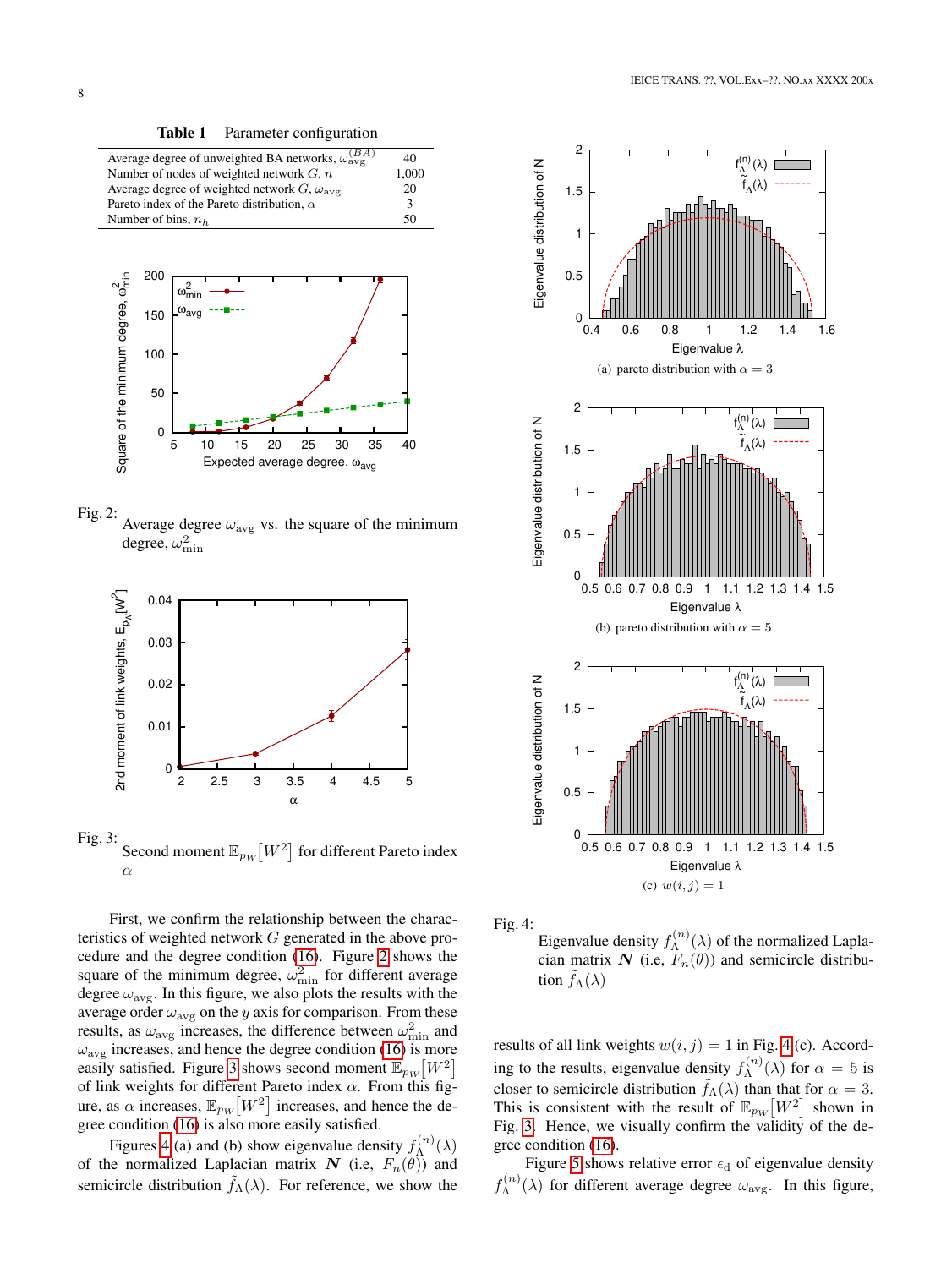<span id="page-7-0"></span>Table 1 Parameter configuration

| Average degree of unweighted BA networks, $\omega_{\text{avg}}^{(BA)}$ | 40    |
|------------------------------------------------------------------------|-------|
| Number of nodes of weighted network $G, n$                             | 1,000 |
| Average degree of weighted network $G, \omega_{\text{av}}$             | 20    |
| Pareto index of the Pareto distribution. $\alpha$                      |       |
| Number of bins, $n_h$                                                  |       |
|                                                                        |       |



<span id="page-7-1"></span>

Fig. 2: Average degree  $\omega_{\text{avg}}$  vs. the square of the minimum degree,  $\omega_{\min}^2$ 



<span id="page-7-2"></span>Fig. 3: Second moment  $\mathbb{E}_{p_W}[W^2]$  for different Pareto index α

First, we confirm the relationship between the characteristics of weighted network G generated in the above procedure and the degree condition [\(16\)](#page-2-1). Figure [2](#page-7-1) shows the square of the minimum degree,  $\omega_{\min}^2$  for different average degree  $\omega_{\text{avg}}$ . In this figure, we also plots the results with the average order  $\omega_{\text{avg}}$  on the y axis for comparison. From these results, as  $\omega_{\text{avg}}$  increases, the difference between  $\omega_{\text{min}}^2$  and  $\omega_{\text{avg}}$  increases, and hence the degree condition [\(16\)](#page-2-1) is more easily satisfied. Figure [3](#page-7-2) shows second moment  $\mathbb{E}_{p_W}[W^2]$ of link weights for different Pareto index  $\alpha$ . From this figure, as  $\alpha$  increases,  $\mathbb{E}_{pw}\left[W^2\right]$  increases, and hence the degree condition [\(16\)](#page-2-1) is also more easily satisfied.

Figures [4](#page-7-3) (a) and (b) show eigenvalue density  $f_{\lambda}^{(n)}$  $\Lambda^{(n)}(\lambda)$ of the normalized Laplacian matrix N (i.e,  $F_n(\theta)$ ) and semicircle distribution  $\tilde{f}_{\Lambda}(\lambda)$ . For reference, we show the





<span id="page-7-3"></span>Eigenvalue density  $f_{\Lambda}^{(n)}$  $\Lambda^{(n)}(\lambda)$  of the normalized Laplacian matrix N (i.e,  $F_n(\theta)$ ) and semicircle distribution  $f_{\Lambda}(\lambda)$ 

results of all link weights  $w(i, j) = 1$  in Fig. [4](#page-7-3) (c). According to the results, eigenvalue density  $f_{\lambda}^{(n)}$  $\Lambda^{(n)}(\lambda)$  for  $\alpha = 5$  is closer to semicircle distribution  $f_{\Lambda}(\lambda)$  than that for  $\alpha = 3$ . This is consistent with the result of  $\mathbb{E}_{p_W}[W^2]$  shown in Fig. [3.](#page-7-2) Hence, we visually confirm the validity of the degree condition [\(16\)](#page-2-1).

Figure [5](#page-8-2) shows relative error  $\epsilon_d$  of eigenvalue density  $f_{\Lambda}^{(n)}$  $\Lambda^{(n)}(\lambda)$  for different average degree  $\omega_{\text{avg}}$ . In this figure,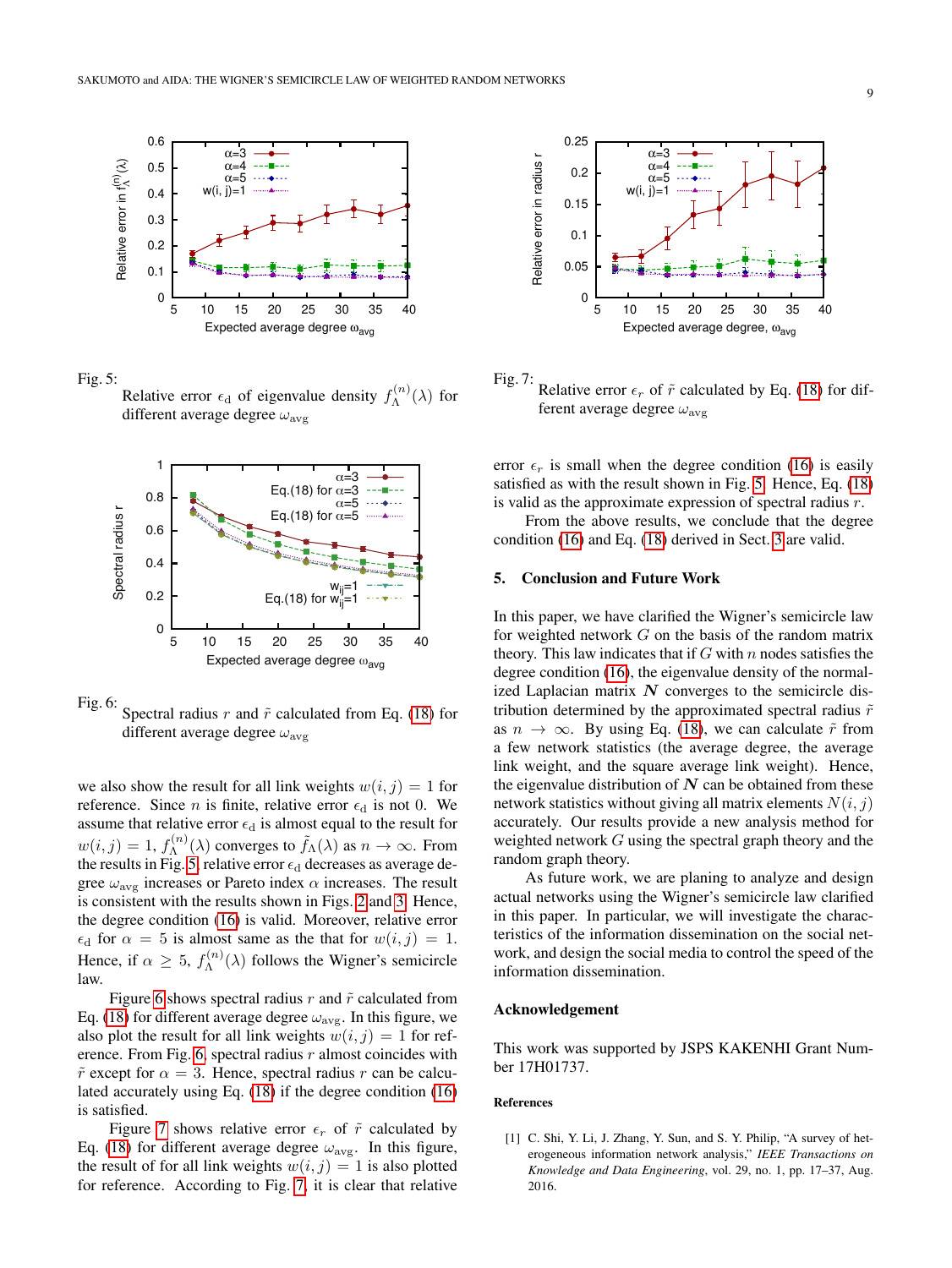



<span id="page-8-2"></span>Relative error  $\epsilon_d$  of eigenvalue density  $f_{\Lambda}^{(n)}$  $\Lambda^{(n)}(\lambda)$  for different average degree  $\omega_{\text{avg}}$ 





<span id="page-8-3"></span>Fig. 6: Spectral radius r and  $\tilde{r}$  calculated from Eq. [\(18\)](#page-2-2) for different average degree  $\omega_{\text{avg}}$ 

we also show the result for all link weights  $w(i, j) = 1$  for reference. Since *n* is finite, relative error  $\epsilon_d$  is not 0. We assume that relative error  $\epsilon_d$  is almost equal to the result for  $w(i, j) = 1, f_{\Lambda}^{(n)}$  $\tilde{A}^{(n)}(\lambda)$  converges to  $\tilde{f}_{\Lambda}(\lambda)$  as  $n \to \infty$ . From the results in Fig. [5,](#page-8-2) relative error  $\epsilon_d$  decreases as average degree  $\omega_{\text{avg}}$  increases or Pareto index  $\alpha$  increases. The result is consistent with the results shown in Figs. [2](#page-7-1) and [3.](#page-7-2) Hence, the degree condition [\(16\)](#page-2-1) is valid. Moreover, relative error  $\epsilon_d$  for  $\alpha = 5$  is almost same as the that for  $w(i, j) = 1$ . Hence, if  $\alpha \geq 5$ ,  $f_{\Lambda}^{(n)}$  $\Lambda^{(n)}(\lambda)$  follows the Wigner's semicircle law.

Figure [6](#page-8-3) shows spectral radius  $r$  and  $\tilde{r}$  calculated from Eq. [\(18\)](#page-2-2) for different average degree  $\omega_{\text{avg}}$ . In this figure, we also plot the result for all link weights  $w(i, j) = 1$  for ref-erence. From Fig. [6,](#page-8-3) spectral radius  $r$  almost coincides with  $\tilde{r}$  except for  $\alpha = 3$ . Hence, spectral radius r can be calculated accurately using Eq. [\(18\)](#page-2-2) if the degree condition [\(16\)](#page-2-1) is satisfied.

Figure [7](#page-8-4) shows relative error  $\epsilon_r$  of  $\tilde{r}$  calculated by Eq. [\(18\)](#page-2-2) for different average degree  $\omega_{\text{avg}}$ . In this figure, the result of for all link weights  $w(i, j) = 1$  is also plotted for reference. According to Fig. [7,](#page-8-4) it is clear that relative



<span id="page-8-4"></span>Fig. 7: Relative error  $\epsilon_r$  of  $\tilde{r}$  calculated by Eq. [\(18\)](#page-2-2) for different average degree  $\omega_{\text{ave}}$ 

error  $\epsilon_r$  is small when the degree condition [\(16\)](#page-2-1) is easily satisfied as with the result shown in Fig. [5.](#page-8-2) Hence, Eq. [\(18\)](#page-2-2) is valid as the approximate expression of spectral radius  $r$ .

From the above results, we conclude that the degree condition [\(16\)](#page-2-1) and Eq. [\(18\)](#page-2-2) derived in Sect. [3](#page-2-0) are valid.

#### <span id="page-8-1"></span>5. Conclusion and Future Work

In this paper, we have clarified the Wigner's semicircle law for weighted network  $G$  on the basis of the random matrix theory. This law indicates that if  $G$  with  $n$  nodes satisfies the degree condition [\(16\)](#page-2-1), the eigenvalue density of the normalized Laplacian matrix  $N$  converges to the semicircle distribution determined by the approximated spectral radius  $\tilde{r}$ as  $n \to \infty$ . By using Eq. [\(18\)](#page-2-2), we can calculate  $\tilde{r}$  from a few network statistics (the average degree, the average link weight, and the square average link weight). Hence, the eigenvalue distribution of  $N$  can be obtained from these network statistics without giving all matrix elements  $N(i, j)$ accurately. Our results provide a new analysis method for weighted network  $G$  using the spectral graph theory and the random graph theory.

As future work, we are planing to analyze and design actual networks using the Wigner's semicircle law clarified in this paper. In particular, we will investigate the characteristics of the information dissemination on the social network, and design the social media to control the speed of the information dissemination.

# Acknowledgement

This work was supported by JSPS KAKENHI Grant Number 17H01737.

#### References

<span id="page-8-0"></span>[1] C. Shi, Y. Li, J. Zhang, Y. Sun, and S. Y. Philip, "A survey of heterogeneous information network analysis," *IEEE Transactions on Knowledge and Data Engineering*, vol. 29, no. 1, pp. 17–37, Aug. 2016.